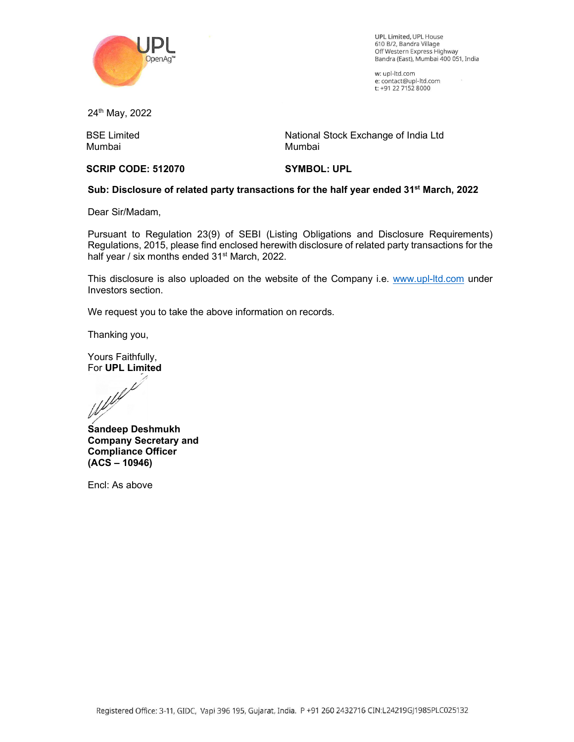

UPL Limited, UPL House 610 B/2, Bandra Village Off Western Express Highway Bandra (East), Mumbai 400 051, India

w: upl-ltd.com e: contact@upl-ltd.com t: +91 22 7152 8000

24th May, 2022

BSE Limited Mumbai

National Stock Exchange of India Ltd Mumbai

## SCRIP CODE: 512070

SYMBOL: UPL

## Sub: Disclosure of related party transactions for the half year ended 31<sup>st</sup> March, 2022

Dear Sir/Madam,

Pursuant to Regulation 23(9) of SEBI (Listing Obligations and Disclosure Requirements) Regulations, 2015, please find enclosed herewith disclosure of related party transactions for the half year / six months ended 31<sup>st</sup> March, 2022.

This disclosure is also uploaded on the website of the Company i.e. www.upl-ltd.com under Investors section.

We request you to take the above information on records.

Thanking you,

Yours Faithfully,

For UPL Limited<br>Webletter

Sandeep Deshmukh Company Secretary and Compliance Officer (ACS – 10946)

Encl: As above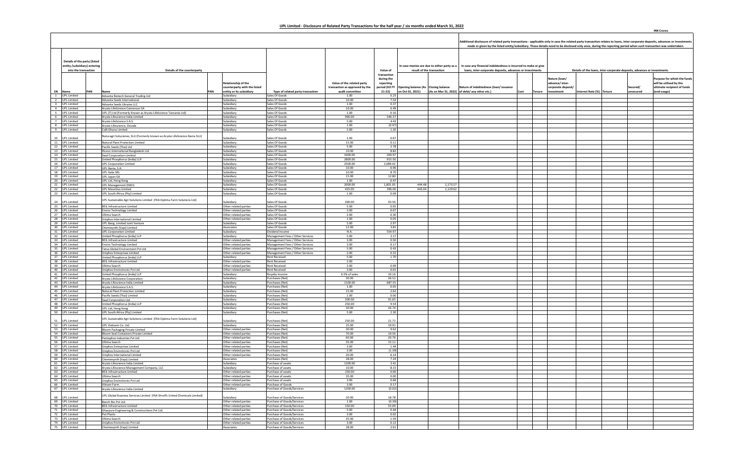|                                                              |                                                                                                              |                                                     |                                                                      |                                                              |                            |                                     |                                             | Additional disclosure of related party transactions - applicable only in case the related party transaction relates to loans, inter-corporate deposits, advances or investments |                                     |                          |                                                                         |                                                        |
|--------------------------------------------------------------|--------------------------------------------------------------------------------------------------------------|-----------------------------------------------------|----------------------------------------------------------------------|--------------------------------------------------------------|----------------------------|-------------------------------------|---------------------------------------------|---------------------------------------------------------------------------------------------------------------------------------------------------------------------------------|-------------------------------------|--------------------------|-------------------------------------------------------------------------|--------------------------------------------------------|
|                                                              |                                                                                                              |                                                     |                                                                      |                                                              |                            |                                     |                                             | made or given by the listed entity/subsidiary. These details need to be disclosed only once, during the reporting period when such transaction was undertaken.                  |                                     |                          |                                                                         |                                                        |
|                                                              |                                                                                                              |                                                     |                                                                      |                                                              |                            |                                     |                                             |                                                                                                                                                                                 |                                     |                          |                                                                         |                                                        |
| Details of the party (listed<br>entity /subsidiary) entering |                                                                                                              |                                                     |                                                                      |                                                              |                            |                                     | In case monies are due to either party as a | In case any financial indebtedness is incurred to make or give                                                                                                                  |                                     |                          |                                                                         |                                                        |
| into the transaction                                         | Details of the counterparty                                                                                  |                                                     |                                                                      |                                                              | Value of<br>transaction    |                                     | result of the transaction                   | loans, inter-corporate deposits, advances or investments                                                                                                                        |                                     |                          | Details of the loans, inter-corporate deposits, advances or investments |                                                        |
|                                                              |                                                                                                              |                                                     |                                                                      |                                                              | during the                 |                                     |                                             |                                                                                                                                                                                 | Nature (Ioan/                       |                          |                                                                         | urpose for which the funds                             |
|                                                              |                                                                                                              | Relationship of the<br>counterparty with the listed |                                                                      | Value of the related party<br>transaction as approved by the | reporting<br>period (H2 FY | Opening balance (As Closing balance |                                             | Nature of indebtedness (loan/issuance                                                                                                                                           | advance/ inter<br>corporate deposit |                          | Secured/                                                                | will be utilised by the<br>ultimate recipient of funds |
| SN Name<br>PAN<br>1 UPL Limited                              | PAN<br>Name<br>Advanta Biotech General Trading Ltd                                                           | entity or its subsidiary<br>Subsidiary              | Type of related party transaction<br>Sales Of Goods                  | audit committee<br>1.00                                      | 21-22)<br>0.23             | on Oct 01, 2021)                    |                                             | (As on Mar 31, 2022) of debt/ any other etc.)<br>Cost<br>Tenure                                                                                                                 | investment                          | Interest Rate (%) Tenure | unsecured                                                               | (end-usage)                                            |
| 2 UPL Limited                                                | Advanta Seeds International                                                                                  | Subsidiary                                          | Sales Of Goods                                                       | 10.00                                                        | 7.54                       |                                     |                                             |                                                                                                                                                                                 |                                     |                          |                                                                         |                                                        |
| 3 UPL Limited<br>4 UPL Limited                               | Advanta Seeds Ukraine LLC<br>Arysta LifeScience Cameroun SA                                                  | Subsidiary<br>Subsidiary                            | Sales Of Goods<br>Sales Of Goods                                     | 1.00<br>10.00                                                | 0.37<br>6.49               |                                     |                                             |                                                                                                                                                                                 |                                     |                          |                                                                         |                                                        |
| 5 UPL Limited                                                | UPL (T) Ltd (Formerly Known as Arysta LifeScience Tanzania Ltd)                                              | Subsidiary                                          | Sales Of Goods                                                       | 1.00                                                         | 0.16                       |                                     |                                             |                                                                                                                                                                                 |                                     |                          |                                                                         |                                                        |
| 6 UPL Limited                                                | Arysta Lifescience India Limited                                                                             | Subsidiary                                          | Sales Of Goods<br>Sales Of Goods                                     | 900.00                                                       | 546.37<br>4.43             |                                     |                                             |                                                                                                                                                                                 |                                     |                          |                                                                         |                                                        |
| 7 UPL Limited<br>8 UPL Limited                               | Arysta LifeScience S.A.S.<br>Arysta Lifescience, Douala                                                      | Subsidiary<br>Subsidiary                            | Sales Of Goods                                                       | 5.00<br>1.00                                                 | (0.97)                     |                                     |                                             |                                                                                                                                                                                 |                                     |                          |                                                                         |                                                        |
| 9 UPL Limited                                                | Calli Ghana Limited                                                                                          | Subsidiary                                          | Sales Of Goods                                                       | 2.00                                                         | 1.20                       |                                     |                                             |                                                                                                                                                                                 |                                     |                          |                                                                         |                                                        |
| 10 UPL Limited                                               | laturagri Soluciones, SLU (Formerly known as Arysta LifeScience Iberia SLU)                                  | Subsidiary                                          | Sales Of Goods                                                       | 1.00                                                         | 0.67                       |                                     |                                             |                                                                                                                                                                                 |                                     |                          |                                                                         |                                                        |
| 11 UPL Limited                                               | Natural Plant Protection Limited                                                                             | Subsidiary                                          | Sales Of Goods                                                       | 15.00                                                        | 0.11                       |                                     |                                             |                                                                                                                                                                                 |                                     |                          |                                                                         |                                                        |
| 12 UPL Limited<br>13 UPL Limited                             | Pacific Seeds (Thai) Ltd<br>Riceco International Bangladesh Ltd                                              | Subsidiary<br>Subsidiary                            | Sales Of Goods<br>Sales Of Goods                                     | 5.00<br>10.00                                                | 2.78<br>8.82               |                                     |                                             |                                                                                                                                                                                 |                                     |                          |                                                                         |                                                        |
| 14 UPL Limited                                               | <b>Swal Corporation Limited</b>                                                                              | Subsidiary                                          | Sales Of Goods                                                       | 1000.00                                                      | 269.97                     |                                     |                                             |                                                                                                                                                                                 |                                     |                          |                                                                         |                                                        |
| 15 UPL Limited                                               | United Phosphorus (India) LLP                                                                                | Subsidiary                                          | Sales Of Goods                                                       | 2800.00                                                      | 915.50                     |                                     |                                             |                                                                                                                                                                                 |                                     |                          |                                                                         |                                                        |
| 16 UPL Limited<br>17 UPL Limited                             | <b>UPL Corporation Limited</b><br>UPL Iberia, S.A.                                                           | Subsidiary<br>Subsidiary                            | Sales Of Goods<br>Sales Of Goods                                     | 2500.00<br>10.00                                             | 2,089.42<br>6.96           |                                     |                                             |                                                                                                                                                                                 |                                     |                          |                                                                         |                                                        |
| 18 UPL Limited                                               | UPL Italia SRL                                                                                               | Subsidiary                                          | Sales Of Goods                                                       | 10.00                                                        | 8.70                       |                                     |                                             |                                                                                                                                                                                 |                                     |                          |                                                                         |                                                        |
| 19 UPL Limited<br>20 UPL Limited                             | UPL Japan GK<br>UPL Ltd, Hong Kong                                                                           | Subsidiary<br>Subsidiary                            | Sales Of Goods<br>Sales Of Goods                                     | 15.00<br>1.00                                                | 12.80<br>0.47              |                                     |                                             |                                                                                                                                                                                 |                                     |                          |                                                                         |                                                        |
| 21 UPL Limited                                               | <b>UPL Management DMCC</b>                                                                                   | Subsidiary                                          | Sales Of Goods                                                       | 2000.00                                                      | 1,801.05                   | 444.48                              | 1,173.57                                    |                                                                                                                                                                                 |                                     |                          |                                                                         |                                                        |
| 22 UPL Limited<br>23 UPL Limited                             | JPL Mauritius Limited<br>UPL South Africa (Pty) Limited                                                      | Subsidiary<br>Subsidiary                            | Sales Of Goods<br>Sales Of Goods                                     | 425.00<br>1.00                                               | 396.00<br>0.09             | 443.04                              | 1,129.62                                    |                                                                                                                                                                                 |                                     |                          |                                                                         |                                                        |
|                                                              |                                                                                                              |                                                     |                                                                      |                                                              |                            |                                     |                                             |                                                                                                                                                                                 |                                     |                          |                                                                         |                                                        |
| 24 UPL Limited                                               | UPL Sustainable Agri Solutions Limited (FKA Optima Farm Solutions Ltd)<br><b>BEIL Infrastructure Limited</b> | Subsidiary<br>Other related parties                 | Sales Of Goods<br>Sales Of Goods                                     | 200.00<br>5.00                                               | 93.56<br>0.05              |                                     |                                             |                                                                                                                                                                                 |                                     |                          |                                                                         |                                                        |
| 25 UPL Limited<br>26 UPL Limited                             | <b>Enviro Technology Limited</b>                                                                             | Other related parties                               | Sales Of Goods                                                       | 3.00                                                         | 0.07                       |                                     |                                             |                                                                                                                                                                                 |                                     |                          |                                                                         |                                                        |
| 27 UPL Limited                                               | Ultima Search                                                                                                | Other related parties                               | Sales Of Goods                                                       | 2.00                                                         | 0.30                       |                                     |                                             |                                                                                                                                                                                 |                                     |                          |                                                                         |                                                        |
| 28 UPL Limited<br>29 UPL Limited                             | Uniphos International Limited<br>UPL Bang. Limited Joint Venture                                             | Other related parties<br>Subsidiary                 | Sales Of Goods<br>Sales Of Goods                                     | 1.00<br>5.00                                                 | 0.05<br>2.97               |                                     |                                             |                                                                                                                                                                                 |                                     |                          |                                                                         |                                                        |
| 30 UPL Limited                                               | Chemieynth (Vapi) Limited                                                                                    | Associates                                          | Sales Of Goods                                                       | 12.00                                                        | 3.81                       |                                     |                                             |                                                                                                                                                                                 |                                     |                          |                                                                         |                                                        |
| 31 UPL Limited<br>32 UPL Limited                             | <b>UPL Corporation Limited</b>                                                                               | Subsidiary<br>Subsidiary                            | Dividend Income<br>Management Fees / Other Services                  | N.A.<br>5.00                                                 | 554.97<br>2.17             |                                     |                                             |                                                                                                                                                                                 |                                     |                          |                                                                         |                                                        |
| 33 UPL Limited                                               | Jnited Phosphorus (India) LLP<br><b>BEIL Infrastructure Limited</b>                                          | Other related parties                               | Management Fees / Other Services                                     | 3.00                                                         | 0.50                       |                                     |                                             |                                                                                                                                                                                 |                                     |                          |                                                                         |                                                        |
| 34 UPL Limited                                               | <b>Enviro Technology Limited</b>                                                                             | Other related parties                               | Management Fees / Other Services                                     | 3.00                                                         | 0.17                       |                                     |                                             |                                                                                                                                                                                 |                                     |                          |                                                                         |                                                        |
| 35 UPL Limited<br>36 UPL Limited                             | Tatva Global Environment Pvt Ltd<br><b>Jniphos Enterprises Limited</b>                                       | Other related parties<br>Other related parties      | Management Fees / Other Services<br>Management Fees / Other Services | 5.00<br>2.00                                                 | 0.43<br>0.31               |                                     |                                             |                                                                                                                                                                                 |                                     |                          |                                                                         |                                                        |
| 37 UPL Limited                                               | <b>Jnited Phosphorus (India) LLP</b>                                                                         | Subsidiary                                          | <b>Rent Received</b>                                                 | 5.00                                                         | 1.70                       |                                     |                                             |                                                                                                                                                                                 |                                     |                          |                                                                         |                                                        |
| 38 UPL Limited<br>39 UPL Limited                             | <b>BEIL Infrastructure Limited</b><br>Jltima Search                                                          | Other related parties<br>Other related parties      | <b>Rent Received</b><br>Rent Received                                | 2.00<br>2.00                                                 | 0.09                       |                                     |                                             |                                                                                                                                                                                 |                                     |                          |                                                                         |                                                        |
| 40 UPL Limited                                               | <b>Jniphos Envirotronic Pvt Ltd</b>                                                                          | Other related parties                               | Rent Received                                                        | 3.00                                                         | 0.01                       |                                     |                                             |                                                                                                                                                                                 |                                     |                          |                                                                         |                                                        |
| 41 UPL Limited                                               | Jnited Phosphorus (India) LLP                                                                                | Subsidiary<br>Subsidiary                            | Royalty Income<br>Purchases (Net)                                    | 6.5% of sales<br>30.00                                       | 10.16<br>26.52             |                                     |                                             |                                                                                                                                                                                 |                                     |                          |                                                                         |                                                        |
| 42 UPL Limited<br>43 UPL Limited                             | Arysta LifeScience Corporation<br>Arvsta Lifescience India Limited                                           | Subsidiary                                          | Purchases (Net)                                                      | 1100.00                                                      | 687.55                     |                                     |                                             |                                                                                                                                                                                 |                                     |                          |                                                                         |                                                        |
| 44 UPL Limited                                               | Arvsta LifeScience S.A.S.                                                                                    | Subsidiary                                          | Purchases (Net)                                                      | 1.00                                                         | 0.05                       |                                     |                                             |                                                                                                                                                                                 |                                     |                          |                                                                         |                                                        |
| 45 UPL Limited<br>46 UPL Limited                             | Natural Plant Protection Limited<br>acific Seeds (Thai) Limited                                              | Subsidiary<br>Subsidiary                            | Purchases (Net)<br>Purchases (Net)                                   | 15.00<br>1.00                                                | 2.63<br>0.00               |                                     |                                             |                                                                                                                                                                                 |                                     |                          |                                                                         |                                                        |
| 47 UPL Limited                                               | Swal Corporation Ltd.                                                                                        | Subsidiary                                          | Purchases (Net)                                                      | 200.00                                                       | 91.65                      |                                     |                                             |                                                                                                                                                                                 |                                     |                          |                                                                         |                                                        |
| 48 UPL Limited<br>49 UPL Limited                             | <b>Jnited Phosphorus (India) LLP</b>                                                                         | Subsidiary<br>Subsidiary                            | Purchases (Net)<br>Purchases (Net)                                   | 250.00<br>30.00                                              | 9.54<br>26.74              |                                     |                                             |                                                                                                                                                                                 |                                     |                          |                                                                         |                                                        |
| 50 UPL Limited                                               | UPL Ltd, Hong Kong<br>UPL South Africa (Pty) Limited                                                         | Subsidiary                                          | Purchases (Net)                                                      | 5.00                                                         | 2.30                       |                                     |                                             |                                                                                                                                                                                 |                                     |                          |                                                                         |                                                        |
| 51 UPL Limited                                               | UPL Sustainable Agri Solutions Limited (FKA Optima Farm Solutions Ltd)                                       | Subsidiary                                          | Purchases (Net)                                                      | 250.00                                                       | 21.71                      |                                     |                                             |                                                                                                                                                                                 |                                     |                          |                                                                         |                                                        |
| 52 UPL Limited                                               | UPL Vietnam Co. Ltd.                                                                                         | Subsidiary                                          | Purchases (Net)                                                      | 25.00                                                        | 19.91                      |                                     |                                             |                                                                                                                                                                                 |                                     |                          |                                                                         |                                                        |
| 53 UPL Limited                                               | Bloom Packaging Private Limited                                                                              | Other related parties                               | Purchases (Net)                                                      | 30.00                                                        | 9.62                       |                                     |                                             |                                                                                                                                                                                 |                                     |                          |                                                                         |                                                        |
| 54 UPL Limited<br>55 UPL Limited                             | <b>Bloom Seal Containers Private Limited</b><br>Pentaphos Industries Pvt Ltd                                 | Other related parties<br>Other related parties      | Purchases (Net)<br>Purchases (Net)                                   | 70.00<br>60.00                                               | 19.56<br>20.76             |                                     |                                             |                                                                                                                                                                                 |                                     |                          |                                                                         |                                                        |
| 56 UPL Limited                                               | Jltima Search                                                                                                | Other related parties                               | Purchases (Net)                                                      | 35.00                                                        | 15.11                      |                                     |                                             |                                                                                                                                                                                 |                                     |                          |                                                                         |                                                        |
| 57 UPL Limited<br>58 UPL Limited                             | <b>Iniphos Enterprises Limited</b><br>Jniphos Envirotronic Pvt Ltd                                           | Other related parties<br>Other related parties      | Purchases (Net)<br>Purchases (Net)                                   | 3.00<br>3.00                                                 | 1.44<br>(1.39)             |                                     |                                             |                                                                                                                                                                                 |                                     |                          |                                                                         |                                                        |
| 59 UPL Limited                                               | <b>Jniphos International Limited</b>                                                                         | Other related parties                               | Purchases (Net)                                                      | 20.00                                                        | 6.14                       |                                     |                                             |                                                                                                                                                                                 |                                     |                          |                                                                         |                                                        |
| 60 UPL Limited<br>61 UPL Limited                             | Chemiesynth (Vapi) Limited<br>Arysta Lifescience India Limited.                                              | Associates<br>Subsidiary                            | Purchases (Net)<br>Purchase of assets                                | 28.00<br>1200.00                                             | 7.24<br>3.41               |                                     |                                             |                                                                                                                                                                                 |                                     |                          |                                                                         |                                                        |
| 62 UPL Limited                                               | Arysta Lifescience Management Company, LLC                                                                   | Subsidiary                                          | Purchase of assets                                                   | 10.00                                                        | 8.15                       |                                     |                                             |                                                                                                                                                                                 |                                     |                          |                                                                         |                                                        |
| 63 UPL Limited                                               | <b>BEIL Infrastructure Limited</b>                                                                           | Other related parties                               | Purchase of assets                                                   | 150.00                                                       | 0.00                       |                                     |                                             |                                                                                                                                                                                 |                                     |                          |                                                                         |                                                        |
| 64 UPL Limited<br>65 UPL Limited                             | Ultima Search<br>Uniphos Envirotronic Pvt Ltd                                                                | Other related parties<br>Other related parties      | Purchase of assets<br>Purchase of assets                             | 35.00<br>3.00                                                | 0.00<br>0.68               |                                     |                                             |                                                                                                                                                                                 |                                     |                          |                                                                         |                                                        |
| 66 UPL Limited                                               | Vikram Farm                                                                                                  | Other related parties                               | Purchase of Goods                                                    | 3.00                                                         | 0.17                       |                                     |                                             |                                                                                                                                                                                 |                                     |                          |                                                                         |                                                        |
| 67 UPL Limited                                               | Arysta Lifescience India Limited                                                                             | Subsidiary                                          | Purchase of Goods/Services                                           | 1200.00                                                      | (0.02)                     |                                     |                                             |                                                                                                                                                                                 |                                     |                          |                                                                         |                                                        |
| 68 UPL Limited                                               | UPL Global Business Services Limited (FKA Shroffs United Chemicals Limited)                                  | Subsidiary                                          | Purchase of Goods/Services                                           | 20.00                                                        | 18.78                      |                                     |                                             |                                                                                                                                                                                 |                                     |                          |                                                                         |                                                        |
| 69 UPL Limited<br>70 UPL Limited                             | Bench Bio Pvt Ltd.                                                                                           | Other related parties                               | Purchase of Goods/Services                                           | 1.00                                                         | (0.39)                     |                                     |                                             |                                                                                                                                                                                 |                                     |                          |                                                                         |                                                        |
| 71 UPL Limited                                               | <b>BEIL Infrastructure Limited</b><br>Gharpure Engineering & Constructions Pvt Ltd.                          | Other related parties<br>Other related parties      | Purchase of Goods/Services<br>Purchase of Goods/Services             | 150.00<br>5.00                                               | 55.09<br>0.44              |                                     |                                             |                                                                                                                                                                                 |                                     |                          |                                                                         |                                                        |
| 72 UPL Limited                                               | Pot Plants                                                                                                   | Other related parties                               | Purchase of Goods/Services                                           | 3.00                                                         | 0.02                       |                                     |                                             |                                                                                                                                                                                 |                                     |                          |                                                                         |                                                        |
| 73 UPL Limited<br>74 UPL Limited                             | Ultima Search<br><b>Jniphos Envirotronic Pvt Ltd</b>                                                         | Other related parties<br>Other related parties      | Purchase of Goods/Services<br>Purchase of Goods/Services             | 35.00<br>3.00                                                | 1.59<br>0.12               |                                     |                                             |                                                                                                                                                                                 |                                     |                          |                                                                         |                                                        |
| 75 UPL Limited                                               | Chemiesynth (Vapi) Limited                                                                                   | Associates                                          | Purchase of Goods/Services                                           | 28.00                                                        | 2.61                       |                                     |                                             |                                                                                                                                                                                 |                                     |                          |                                                                         |                                                        |

**INR Crores**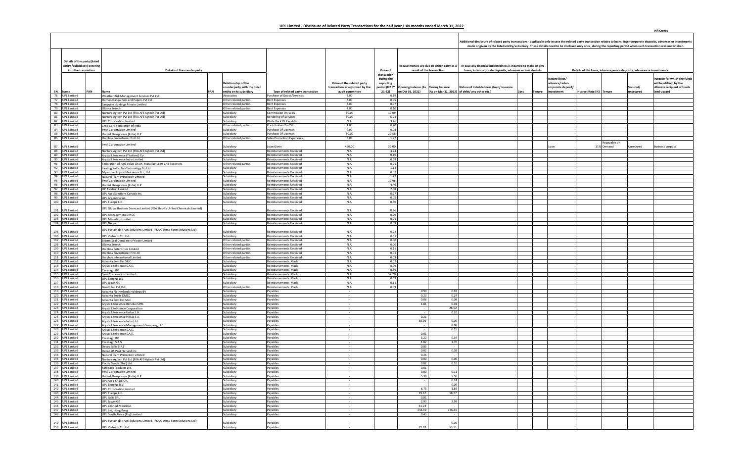|                                                      |                              |                                                                             |                                                                 |                                                                  |                                                   |                                        |                                                         |                                                                                                                                                                                                        |             |               |                                  | Additional disclosure of related party transactions - applicable only in case the related party transaction relates to loans, inter-corporate deposits, advances or investments<br>made or given by the listed entity/subsidiary. These details need to be disclosed only once, during the reporting period when such transaction was undertaken. |                       |                                                        |
|------------------------------------------------------|------------------------------|-----------------------------------------------------------------------------|-----------------------------------------------------------------|------------------------------------------------------------------|---------------------------------------------------|----------------------------------------|---------------------------------------------------------|--------------------------------------------------------------------------------------------------------------------------------------------------------------------------------------------------------|-------------|---------------|----------------------------------|---------------------------------------------------------------------------------------------------------------------------------------------------------------------------------------------------------------------------------------------------------------------------------------------------------------------------------------------------|-----------------------|--------------------------------------------------------|
|                                                      |                              |                                                                             |                                                                 |                                                                  |                                                   |                                        |                                                         |                                                                                                                                                                                                        |             |               |                                  |                                                                                                                                                                                                                                                                                                                                                   |                       |                                                        |
|                                                      | Details of the party (listed |                                                                             |                                                                 |                                                                  |                                                   |                                        |                                                         |                                                                                                                                                                                                        |             |               |                                  |                                                                                                                                                                                                                                                                                                                                                   |                       |                                                        |
| entity /subsidiary) entering<br>into the transaction |                              | Details of the counterparty                                                 |                                                                 |                                                                  |                                                   | Value of                               |                                                         | In case any financial indebtedness is incurred to make or give<br>In case monies are due to either party as a<br>loans, inter-corporate deposits, advances or investments<br>result of the transaction |             |               |                                  | Details of the loans, inter-corporate deposits, advances or investments                                                                                                                                                                                                                                                                           |                       |                                                        |
|                                                      |                              |                                                                             | Relationship of the                                             |                                                                  | Value of the related party                        | transaction<br>during the<br>reporting |                                                         |                                                                                                                                                                                                        |             |               | Nature (loan/<br>advance/inter-  |                                                                                                                                                                                                                                                                                                                                                   |                       | Purpose for which the funds<br>will be utilised by the |
| SN Name                                              | PAN                          | Name                                                                        | counterparty with the listed<br>PAN<br>entity or its subsidiary | Type of related party transaction                                | transaction as approved by the<br>audit committee | period (H2 FY<br>$21-22$               | Opening balance (As Closing balance<br>on Oct 01, 2021) | Nature of indebtedness (loan/issuance<br>(As on Mar 31, 2022) of debt/ any other etc.)                                                                                                                 | <b>Cost</b> | <b>Tenure</b> | corporate deposit,<br>investment | Interest Rate (%) Tenure                                                                                                                                                                                                                                                                                                                          | Secured/<br>unsecured | ultimate recipient of funds<br>(end-usage)             |
| 76 UPL Limited                                       |                              | Weather Risk Management Services Pvt Ltd                                    | Associates                                                      | Purchase of Goods/Services                                       | 3.00                                              | 0.19                                   |                                                         |                                                                                                                                                                                                        |             |               |                                  |                                                                                                                                                                                                                                                                                                                                                   |                       |                                                        |
| 77 UPL Limited<br>78 UPL Limited                     |                              | Daman Ganga Pulp and Papers Pvt Ltd                                         | Other related parties<br>Other related parties                  | Rent Expenses<br>Rent Expenses                                   | 3.00<br>3.00                                      | 0.05<br>0.07                           |                                                         |                                                                                                                                                                                                        |             |               |                                  |                                                                                                                                                                                                                                                                                                                                                   |                       |                                                        |
| 79 UPL Limited                                       |                              | Sanguine Holdings Private Limited<br>Ultima Search                          | Other related parties                                           | Rent Expenses                                                    | 2.00                                              | 0.10                                   |                                                         |                                                                                                                                                                                                        |             |               |                                  |                                                                                                                                                                                                                                                                                                                                                   |                       |                                                        |
| 80 UPL Limited                                       |                              | Nurture Agtech Pvt Ltd (FKA AFS Agtech Pvt Ltd)                             | Subsidiary                                                      | Commission On Sales                                              | 30.00                                             | 10.09                                  |                                                         |                                                                                                                                                                                                        |             |               |                                  |                                                                                                                                                                                                                                                                                                                                                   |                       |                                                        |
| 81 UPL Limited                                       |                              | Nurture Agtech Pvt Ltd (FKA AFS Agtech Pvt Ltd)                             | Subsidiary                                                      | Rendering of Services                                            | 30.00                                             | 5.03                                   |                                                         |                                                                                                                                                                                                        |             |               |                                  |                                                                                                                                                                                                                                                                                                                                                   |                       |                                                        |
| 82 UPL Limited<br>83 UPL Limited                     |                              | <b>UPL Corporation Limited</b><br>Crop Care Federation of India             | Subsidiary<br>Other related parties                             | Write Back Of Payables<br>Contribution To CSR                    | N.A.<br>1.00                                      | 3.26<br>0.20                           |                                                         |                                                                                                                                                                                                        |             |               |                                  |                                                                                                                                                                                                                                                                                                                                                   |                       |                                                        |
| 84 UPL Limited                                       |                              | Swal Corporation Limited                                                    | Subsidiary                                                      | Purchase Of Licences                                             | 2.00                                              | 0.08                                   |                                                         |                                                                                                                                                                                                        |             |               |                                  |                                                                                                                                                                                                                                                                                                                                                   |                       |                                                        |
| 85 UPL Limited                                       |                              | <b>Jnited Phosphorus (India) LLP</b>                                        | Subsidiary                                                      | Purchase Of Licences                                             | 50.00                                             | 20.58                                  |                                                         |                                                                                                                                                                                                        |             |               |                                  |                                                                                                                                                                                                                                                                                                                                                   |                       |                                                        |
| 86 UPL Limited                                       |                              | Uniphos Envirotronic Pvt Ltd                                                | Other related parties                                           | Sales Promotion Expeneses                                        | 3.00                                              | 1.77                                   |                                                         |                                                                                                                                                                                                        |             |               |                                  |                                                                                                                                                                                                                                                                                                                                                   |                       |                                                        |
| 87 UPL Limited                                       |                              | Swal Corporation Limited                                                    | Subsidiary                                                      | Loan Given                                                       | 450.00                                            | 39.00                                  |                                                         |                                                                                                                                                                                                        |             |               | Loan                             | Repayable on<br>11% Demand                                                                                                                                                                                                                                                                                                                        | Jnsecured             | <b>Business purpose</b>                                |
| 88 UPL Limited                                       |                              | Nurture Agtech Pvt Ltd (FKA AFS Agtech Pvt Ltd)                             | Subsidiary                                                      | <b>Reimbursements Received</b>                                   | N.A.                                              | 3.74                                   |                                                         |                                                                                                                                                                                                        |             |               |                                  |                                                                                                                                                                                                                                                                                                                                                   |                       |                                                        |
| 89 UPL Limited                                       |                              | Arysta Lifescience (Thailand) Co.                                           | Subsidiary                                                      | Reimbursements Received                                          | N.A.                                              | 0.10                                   |                                                         |                                                                                                                                                                                                        |             |               |                                  |                                                                                                                                                                                                                                                                                                                                                   |                       |                                                        |
| 90 UPL Limited                                       |                              | Arysta Lifescience India Limited                                            | Subsidiary                                                      | Reimbursements Received                                          | N.A.                                              | 0.69                                   |                                                         |                                                                                                                                                                                                        |             |               |                                  |                                                                                                                                                                                                                                                                                                                                                   |                       |                                                        |
| 91 UPL Limited<br>92 UPL Limited                     |                              | Federation of Agri-Value Chain, Manufacturers and Exporters                 | Other related parties<br>Subsidiary                             | <b>Reimbursements Received</b><br><b>Reimbursements Received</b> | N.A.<br>N.A.                                      | 0.01<br>1.14                           |                                                         |                                                                                                                                                                                                        |             |               |                                  |                                                                                                                                                                                                                                                                                                                                                   |                       |                                                        |
| 93 UPL Limited                                       |                              | Laoting Yoloo Bio-Technology Co.Ltd<br>Myanmar Arysta Lifescience Co., Ltd  | Subsidiary                                                      | <b>Reimbursements Received</b>                                   | N.A.                                              | 0.07                                   |                                                         |                                                                                                                                                                                                        |             |               |                                  |                                                                                                                                                                                                                                                                                                                                                   |                       |                                                        |
| 94 UPL Limited                                       |                              | Natural Plant Protection Limited                                            | Subsidiary                                                      | <b>Reimbursements Received</b>                                   | N.A.                                              | 1.22                                   |                                                         |                                                                                                                                                                                                        |             |               |                                  |                                                                                                                                                                                                                                                                                                                                                   |                       |                                                        |
| 95 UPL Limited                                       |                              | Swal Corporation Limited                                                    | Subsidiary                                                      | <b>Reimbursements Received</b>                                   | N.A.                                              | 17.96                                  |                                                         |                                                                                                                                                                                                        |             |               |                                  |                                                                                                                                                                                                                                                                                                                                                   |                       |                                                        |
| 96 UPL Limited                                       |                              | United Phosphorus (India) LLP                                               | Subsidiary                                                      | <b>Reimbursements Received</b>                                   | N.A.                                              | 4.46<br>7.58                           |                                                         |                                                                                                                                                                                                        |             |               |                                  |                                                                                                                                                                                                                                                                                                                                                   |                       |                                                        |
| 97 UPL Limited<br>98 UPL Limited                     |                              | UP Aviation Limited<br>UPL AgroSolutions Canada Inc.                        | Subsidiary<br>Subsidiary                                        | <b>Reimbursements Received</b><br><b>Reimbursements Received</b> | N.A.<br>N.A.                                      | 0.27                                   |                                                         |                                                                                                                                                                                                        |             |               |                                  |                                                                                                                                                                                                                                                                                                                                                   |                       |                                                        |
| 99 UPL Limited                                       |                              | UPL Argentina SA.                                                           | Subsidiary                                                      | <b>Reimbursements Received</b>                                   | N.A.                                              | 0.05                                   |                                                         |                                                                                                                                                                                                        |             |               |                                  |                                                                                                                                                                                                                                                                                                                                                   |                       |                                                        |
| 100 UPL Limited                                      |                              | UPL Europe Ltd.                                                             | Subsidiary                                                      | <b>Reimbursements Received</b>                                   | N.A.                                              | 0.50                                   |                                                         |                                                                                                                                                                                                        |             |               |                                  |                                                                                                                                                                                                                                                                                                                                                   |                       |                                                        |
|                                                      |                              | UPL Global Business Services Limited (FKA Shroffs United Chemicals Limited) |                                                                 |                                                                  |                                                   |                                        |                                                         |                                                                                                                                                                                                        |             |               |                                  |                                                                                                                                                                                                                                                                                                                                                   |                       |                                                        |
| 101 UPL Limited<br>102 UPL Limited                   |                              | <b>UPL Management DMCC</b>                                                  | Subsidiary<br>Subsidiary                                        | Reimbursements Received<br><b>Reimbursements Received</b>        | N.A.<br>N.A.                                      | 0.96<br>0.09                           |                                                         |                                                                                                                                                                                                        |             |               |                                  |                                                                                                                                                                                                                                                                                                                                                   |                       |                                                        |
| 103 UPL Limited                                      |                              | JPL Mauritius Limited                                                       | Subsidiary                                                      | <b>Reimbursements Received</b>                                   | N.A.                                              | 0.01                                   |                                                         |                                                                                                                                                                                                        |             |               |                                  |                                                                                                                                                                                                                                                                                                                                                   |                       |                                                        |
| 104 UPL Limited                                      |                              | UPL NA Inc                                                                  | Subsidiary                                                      | <b>Reimbursements Received</b>                                   | N.A.                                              | 0.53                                   |                                                         |                                                                                                                                                                                                        |             |               |                                  |                                                                                                                                                                                                                                                                                                                                                   |                       |                                                        |
| 105 UPL Limited                                      |                              | UPL Sustainable Agri Solutions Limited (FKA Optima Farm Solutions Ltd)      | Subsidiary                                                      | <b>Reimbursements Received</b>                                   | N.A.                                              | 0.22                                   |                                                         |                                                                                                                                                                                                        |             |               |                                  |                                                                                                                                                                                                                                                                                                                                                   |                       |                                                        |
| 106 UPL Limited                                      |                              | UPL Vietnam Co. Ltd.                                                        | Subsidiary                                                      | <b>Reimbursements Received</b>                                   | N.A.                                              | 0.31                                   |                                                         |                                                                                                                                                                                                        |             |               |                                  |                                                                                                                                                                                                                                                                                                                                                   |                       |                                                        |
| 107 UPL Limited                                      |                              | Bloom Seal Containers Private Limited                                       | Other related parties                                           | <b>Reimbursements Received</b>                                   | N.A.                                              | 0.00                                   |                                                         |                                                                                                                                                                                                        |             |               |                                  |                                                                                                                                                                                                                                                                                                                                                   |                       |                                                        |
| 108 UPL Limited                                      |                              | Ultima Search                                                               | Other related parties                                           | <b>Reimbursements Received</b>                                   | N.A.                                              | 0.00                                   |                                                         |                                                                                                                                                                                                        |             |               |                                  |                                                                                                                                                                                                                                                                                                                                                   |                       |                                                        |
| 109 UPL Limited                                      |                              | Uniphos Enterprises Limited                                                 | Other related parties                                           | <b>Reimbursements Received</b>                                   | N.A.                                              | 0.11                                   |                                                         |                                                                                                                                                                                                        |             |               |                                  |                                                                                                                                                                                                                                                                                                                                                   |                       |                                                        |
| 110 UPL Limited                                      |                              | Uniphos Envirotronic Pvt Ltd<br>Uniphos International Limited               | Other related parties<br>Other related parties                  | <b>Reimbursements Received</b><br><b>Reimbursements Received</b> | N.A.<br>N.A.                                      | 0.01<br>0.03                           |                                                         |                                                                                                                                                                                                        |             |               |                                  |                                                                                                                                                                                                                                                                                                                                                   |                       |                                                        |
| 111 UPL Limited<br>112 UPL Limited                   |                              | Advanta Semillas SAIC                                                       | Subsidiary                                                      | Reimbursements Made                                              | N.A.                                              | 0.02                                   |                                                         |                                                                                                                                                                                                        |             |               |                                  |                                                                                                                                                                                                                                                                                                                                                   |                       |                                                        |
| 113 UPL Limited                                      |                              | Arysta LifeScience S.A.S.                                                   | Subsidiary                                                      | Reimbursements Made                                              | N.A.                                              | 0.09                                   |                                                         |                                                                                                                                                                                                        |             |               |                                  |                                                                                                                                                                                                                                                                                                                                                   |                       |                                                        |
| 114 UPL Limited                                      |                              | Cerexagri BV                                                                | Subsidiary                                                      | Reimbursements Made                                              | N.A.                                              | 0.39                                   |                                                         |                                                                                                                                                                                                        |             |               |                                  |                                                                                                                                                                                                                                                                                                                                                   |                       |                                                        |
| 115 UPL Limited<br>116 UPL Limited                   |                              | <b>Swal Corporation Limited</b>                                             | Subsidiary                                                      | Reimbursements Made<br>Reimbursements Made                       | N.A.<br>N.A.                                      | 32.20<br>0.09                          |                                                         |                                                                                                                                                                                                        |             |               |                                  |                                                                                                                                                                                                                                                                                                                                                   |                       |                                                        |
| 117 UPL Limited                                      |                              | UPL Benelux B.V.<br>UPL Japan GK                                            | Subsidiary<br>Subsidiary                                        | Reimbursements Made                                              | N.A.                                              | 0.11                                   |                                                         |                                                                                                                                                                                                        |             |               |                                  |                                                                                                                                                                                                                                                                                                                                                   |                       |                                                        |
| 118 UPL Limited                                      |                              | Bench Bio Pvt Ltd.                                                          | Other related parties                                           | Reimbursements Made                                              | N.A.                                              | 0.39                                   |                                                         |                                                                                                                                                                                                        |             |               |                                  |                                                                                                                                                                                                                                                                                                                                                   |                       |                                                        |
| 119 UPL Limited                                      |                              | Advanta Netherlands Holdings BV                                             | Subsidiary                                                      | Pavables                                                         |                                                   |                                        | 0.99                                                    | 0.97                                                                                                                                                                                                   |             |               |                                  |                                                                                                                                                                                                                                                                                                                                                   |                       |                                                        |
| 120 UPL Limited<br>121 UPL Limited                   |                              | Advanta Seeds DMCC                                                          | Subsidiary<br>Subsidiary                                        | Payables                                                         |                                                   |                                        | 0.23<br>0.06                                            | 0.24<br>0.08                                                                                                                                                                                           |             |               |                                  |                                                                                                                                                                                                                                                                                                                                                   |                       |                                                        |
| 122 UPL Limited                                      |                              | Advanta Semillas SAIC<br>Arysta Lifescience Benelux SPRL                    | Subsidiary                                                      | Payables<br>Payables                                             |                                                   |                                        | 1.81                                                    | 0.01                                                                                                                                                                                                   |             |               |                                  |                                                                                                                                                                                                                                                                                                                                                   |                       |                                                        |
| 123 UPL Limited                                      |                              | Arysta LifeScience Corporation                                              | Subsidiary                                                      | Payables                                                         | $\sim$                                            |                                        | $\sim$                                                  | 26.52                                                                                                                                                                                                  |             |               |                                  |                                                                                                                                                                                                                                                                                                                                                   |                       |                                                        |
| 124 UPL Limited                                      |                              | Arysta Lifescience Hellas S.A.                                              | Subsidiary                                                      | Pavables                                                         |                                                   |                                        |                                                         | 0.20                                                                                                                                                                                                   |             |               |                                  |                                                                                                                                                                                                                                                                                                                                                   |                       |                                                        |
| 125 UPL Limited                                      |                              | Arysta Lifescience Hellas S.A.                                              | Subsidiary                                                      | Pavables                                                         |                                                   |                                        | 0.21<br>38.99                                           | 0.00                                                                                                                                                                                                   |             |               |                                  |                                                                                                                                                                                                                                                                                                                                                   |                       |                                                        |
| 126 UPL Limited<br>127 UPL Limited                   |                              | Arysta Lifescience India Ltd.<br>Arysta Lifescience Management Company, LLC | Subsidiary<br>Subsidiary                                        | Payables<br>Payables                                             |                                                   |                                        |                                                         | 8.08                                                                                                                                                                                                   |             |               |                                  |                                                                                                                                                                                                                                                                                                                                                   |                       |                                                        |
| 128 UPL Limited                                      |                              | Arysta LifeScience S.A.S.                                                   | Subsidiary                                                      | Payables                                                         |                                                   |                                        |                                                         | 0.15                                                                                                                                                                                                   |             |               |                                  |                                                                                                                                                                                                                                                                                                                                                   |                       |                                                        |
| 129 UPL Limited                                      |                              | Arysta LifeScience S.A.S.                                                   | Subsidiary                                                      | Payables                                                         |                                                   |                                        | 0.01                                                    | $\sim$                                                                                                                                                                                                 |             |               |                                  |                                                                                                                                                                                                                                                                                                                                                   |                       |                                                        |
| 130 UPL Limited<br>131 UPL Limited                   |                              | Cerexagri BV                                                                | Subsidiary<br>Subsidiary                                        | Pavables                                                         | $\sim$                                            |                                        | 5.22<br>1.82                                            | 0.34                                                                                                                                                                                                   |             |               |                                  |                                                                                                                                                                                                                                                                                                                                                   |                       |                                                        |
| 132 UPL Limited                                      |                              | Cerexagri S.A.S<br>Decco Italia S.R.I                                       | Subsidiary                                                      | Payables<br>Payables                                             |                                                   |                                        | 0.85                                                    | 1.70                                                                                                                                                                                                   |             |               |                                  |                                                                                                                                                                                                                                                                                                                                                   |                       |                                                        |
| 133 UPL Limited                                      |                              | Decco US Post Harvest Inc                                                   | Subsidiary                                                      | Payables                                                         |                                                   |                                        | 0.02                                                    | 0.02                                                                                                                                                                                                   |             |               |                                  |                                                                                                                                                                                                                                                                                                                                                   |                       |                                                        |
| 134 UPL Limited                                      |                              | Natural Plant Protection Limited                                            | Subsidiary                                                      | Payables                                                         |                                                   |                                        | 0.26                                                    |                                                                                                                                                                                                        |             |               |                                  |                                                                                                                                                                                                                                                                                                                                                   |                       |                                                        |
| 135 UPL Limited                                      |                              | Nurture Agtech Pvt Ltd (FKA AFS Agtech Pvt Ltd)                             | Subsidiary                                                      | Payables                                                         |                                                   |                                        | 0.00                                                    | 0.00                                                                                                                                                                                                   |             |               |                                  |                                                                                                                                                                                                                                                                                                                                                   |                       |                                                        |
| 136 UPL Limited                                      |                              | Pacific Seeds (Thai) Ltd                                                    | Subsidiary<br>Subsidiary                                        | Payables                                                         |                                                   |                                        | 0.82<br>0.01                                            | 0.10                                                                                                                                                                                                   |             |               |                                  |                                                                                                                                                                                                                                                                                                                                                   |                       |                                                        |
| 137   UPL Limited<br>138 UPL Limited                 |                              | Safepack Products Ltd.<br><b>Swal Corporation Limited</b>                   | Subsidiary                                                      | Payables<br>Payables                                             |                                                   |                                        | 0.00                                                    | 0.11                                                                                                                                                                                                   |             |               |                                  |                                                                                                                                                                                                                                                                                                                                                   |                       |                                                        |
| 139 UPL Limited                                      |                              | United Phosphorus (India) LLP                                               | Subsidiary                                                      | Payables                                                         |                                                   |                                        | 5.39                                                    | 5.50                                                                                                                                                                                                   |             |               |                                  |                                                                                                                                                                                                                                                                                                                                                   |                       |                                                        |
| 140 UPL Limited                                      |                              | UPL Agro SA DE CV.                                                          | Subsidiary                                                      | Payables                                                         |                                                   |                                        |                                                         | 0.24                                                                                                                                                                                                   |             |               |                                  |                                                                                                                                                                                                                                                                                                                                                   |                       |                                                        |
| 141 UPL Limited<br>142 UPL Limited                   |                              | UPL Benelux B.V.                                                            | Subsidiary                                                      | Payables                                                         | <b>COL</b>                                        |                                        | 6.75                                                    | 0.09<br>1.84                                                                                                                                                                                           |             |               |                                  |                                                                                                                                                                                                                                                                                                                                                   |                       |                                                        |
| 143 UPL Limited                                      |                              | <b>UPL Corporation Limited</b><br>UPL Europe Ltd.                           | Subsidiary<br>Subsidiary                                        | Payables<br>Payables                                             | $\sim$                                            |                                        | 19.67                                                   | 18.77                                                                                                                                                                                                  |             |               |                                  |                                                                                                                                                                                                                                                                                                                                                   |                       |                                                        |
| 144 UPL Limited                                      |                              | <b>UPL Italia SRL</b>                                                       | Subsidiary                                                      | Payables                                                         |                                                   |                                        | 0.81                                                    |                                                                                                                                                                                                        |             |               |                                  |                                                                                                                                                                                                                                                                                                                                                   |                       |                                                        |
| 145 UPL Limited                                      |                              | UPL Japan GK                                                                | Subsidiary                                                      | Payables                                                         |                                                   |                                        | 2.93                                                    | 2.99                                                                                                                                                                                                   |             |               |                                  |                                                                                                                                                                                                                                                                                                                                                   |                       |                                                        |
| 146 UPL Limited                                      |                              | <b>UPL Limited-Mauritius</b>                                                | Subsidiary                                                      | Payables                                                         | $\sim$                                            |                                        | 31.22                                                   |                                                                                                                                                                                                        |             |               |                                  |                                                                                                                                                                                                                                                                                                                                                   |                       |                                                        |
| 147 UPL Limited<br>148 UPL Limited                   |                              | UPL Ltd, Hong Kong<br>UPL South Africa (Pty) Limited                        | Subsidiary<br>Subsidiary                                        | Payables<br>Payables                                             | $\sim$<br>$\sim$                                  |                                        | 144.99<br>0.45                                          | 136.30<br>$\sim$                                                                                                                                                                                       |             |               |                                  |                                                                                                                                                                                                                                                                                                                                                   |                       |                                                        |
|                                                      |                              |                                                                             |                                                                 |                                                                  |                                                   |                                        |                                                         |                                                                                                                                                                                                        |             |               |                                  |                                                                                                                                                                                                                                                                                                                                                   |                       |                                                        |
| 149 UPL Limited                                      |                              | UPL Sustainable Agri Solutions Limited (FKA Optima Farm Solutions Ltd)      | Subsidiary                                                      | Payables                                                         |                                                   |                                        |                                                         | 0.00                                                                                                                                                                                                   |             |               |                                  |                                                                                                                                                                                                                                                                                                                                                   |                       |                                                        |
| 150 UPL Limited                                      |                              | UPL Vietnam Co. Ltd.                                                        | Subsidiary                                                      | Payables                                                         |                                                   |                                        | 72.03                                                   | 53.51                                                                                                                                                                                                  |             |               |                                  |                                                                                                                                                                                                                                                                                                                                                   |                       |                                                        |

**INR Crores**

 $\overline{\phantom{0}}$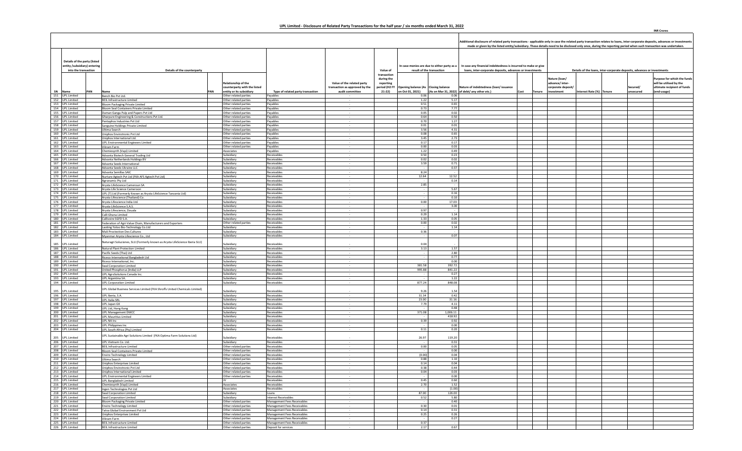|                                                                                      |                                    |     |                                                                                                                     |     |                                                                                        |                                                            |                                                                                 |                                                                   |                                                                         |                  | Additional disclosure of related party transactions - applicable only in case the related party transaction relates to loans, inter-corporate deposits, advances or investments                       |      |        |                                                                      | made or given by the listed entity/subsidiary. These details need to be disclosed only once, during the reporting period when such transaction was undertaken. |                       |                                                                                                      |  |  |
|--------------------------------------------------------------------------------------|------------------------------------|-----|---------------------------------------------------------------------------------------------------------------------|-----|----------------------------------------------------------------------------------------|------------------------------------------------------------|---------------------------------------------------------------------------------|-------------------------------------------------------------------|-------------------------------------------------------------------------|------------------|-------------------------------------------------------------------------------------------------------------------------------------------------------------------------------------------------------|------|--------|----------------------------------------------------------------------|----------------------------------------------------------------------------------------------------------------------------------------------------------------|-----------------------|------------------------------------------------------------------------------------------------------|--|--|
| Details of the party (listed<br>entity /subsidiary) entering<br>into the transaction |                                    |     | Details of the counterparty                                                                                         |     |                                                                                        |                                                            |                                                                                 | Value of                                                          | n case monies are due to either party as a<br>result of the transaction |                  | In case any financial indebtedness is incurred to make or give<br>loans, inter-corporate deposits, advances or investments<br>Details of the loans, inter-corporate deposits, advances or investments |      |        |                                                                      |                                                                                                                                                                |                       |                                                                                                      |  |  |
|                                                                                      | SN Name                            | PAN | Name                                                                                                                | PAN | <b>Relationship of the</b><br>counterparty with the listed<br>entity or its subsidiarv | Type of related party transaction                          | Value of the related party<br>transaction as approved by the<br>audit committee | transaction<br>during the<br>reporting<br>period (H2 FY<br>21-22) | Opening balance (As Closing balance                                     |                  | Nature of indebtedness (loan/ issuance<br>on Oct 01, 2021) (As on Mar 31, 2022) of debt/ any other etc.)                                                                                              | Cost | Tenure | Nature (loan/<br>advance/ inter-<br>corporate deposit/<br>investment | Interest Rate (%) Tenure                                                                                                                                       | Secured/<br>unsecured | Purpose for which the funds<br>will be utilised by the<br>ultimate recipient of funds<br>(end-usage) |  |  |
|                                                                                      | 151 UPL Limited<br>152 UPL Limited |     | Bench Bio Pvt Ltd.                                                                                                  |     | Other related parties                                                                  | Payables                                                   |                                                                                 |                                                                   | 0.06                                                                    | 0.06             |                                                                                                                                                                                                       |      |        |                                                                      |                                                                                                                                                                |                       |                                                                                                      |  |  |
|                                                                                      | 153 UPL Limited                    |     | BEIL Infrastructure Limited<br><b>Bloom Packaging Private Limited</b>                                               |     | Other related parties<br>Other related parties                                         | Payables<br>Pavables                                       |                                                                                 |                                                                   | 1.22<br>0.51                                                            | 5.17<br>0.65     |                                                                                                                                                                                                       |      |        |                                                                      |                                                                                                                                                                |                       |                                                                                                      |  |  |
|                                                                                      | 154 UPL Limited                    |     | Bloom Seal Containers Private Limited                                                                               |     | Other related parties                                                                  | Payables                                                   |                                                                                 |                                                                   | 0.73                                                                    | 7.77             |                                                                                                                                                                                                       |      |        |                                                                      |                                                                                                                                                                |                       |                                                                                                      |  |  |
|                                                                                      | 155 UPL Limited                    |     | Daman Ganga Pulp and Papers Pvt Ltd                                                                                 |     | Other related parties                                                                  | Pavables                                                   |                                                                                 |                                                                   | 0.05                                                                    | 0.02             |                                                                                                                                                                                                       |      |        |                                                                      |                                                                                                                                                                |                       |                                                                                                      |  |  |
|                                                                                      | 156 UPL Limited                    |     | Gharpure Engineering & Constructions Pvt Ltd.                                                                       |     | Other related parties                                                                  | Payables                                                   |                                                                                 |                                                                   | 0.64                                                                    | 0.50             |                                                                                                                                                                                                       |      |        |                                                                      |                                                                                                                                                                |                       |                                                                                                      |  |  |
|                                                                                      | 157 UPL Limited                    |     | Pentaphos Industries Pvt Ltd                                                                                        |     | Other related parties<br>Other related parties                                         | Payables<br>Pavables                                       |                                                                                 |                                                                   | 0.70<br>0.01                                                            | 1.27<br>0.01     |                                                                                                                                                                                                       |      |        |                                                                      |                                                                                                                                                                |                       |                                                                                                      |  |  |
|                                                                                      | 158 UPL Limited<br>159 UPL Limited |     | Sanguine Holdings Private Limited<br>Ultima Search                                                                  |     | Other related parties                                                                  | Pavables                                                   |                                                                                 |                                                                   | 3.56                                                                    | 4.31             |                                                                                                                                                                                                       |      |        |                                                                      |                                                                                                                                                                |                       |                                                                                                      |  |  |
|                                                                                      | 160 UPL Limited                    |     | Uniphos Envirotronic Pvt Ltd                                                                                        |     | Other related parties                                                                  | Payables                                                   |                                                                                 |                                                                   | 0.08                                                                    | 0.65             |                                                                                                                                                                                                       |      |        |                                                                      |                                                                                                                                                                |                       |                                                                                                      |  |  |
|                                                                                      | 161 UPL Limited                    |     | Uniphos International Ltd.                                                                                          |     | Other related parties                                                                  | Pavables                                                   |                                                                                 |                                                                   | 3.45                                                                    | 2.73             |                                                                                                                                                                                                       |      |        |                                                                      |                                                                                                                                                                |                       |                                                                                                      |  |  |
|                                                                                      | 162 UPL Limited                    |     | <b>UPL Environmental Engineers Limited</b>                                                                          |     | Other related parties                                                                  | Payables                                                   |                                                                                 |                                                                   | 0.17                                                                    | 0.17             |                                                                                                                                                                                                       |      |        |                                                                      |                                                                                                                                                                |                       |                                                                                                      |  |  |
|                                                                                      | 163 UPL Limited<br>164 UPL Limited |     | Vikram Farm<br>Chemiesvnth (Vapi) Limited                                                                           |     | Other related parties<br>Associates                                                    | Payables<br>Pavables                                       |                                                                                 |                                                                   | 0.00<br>1.22                                                            | 0.03<br>0.49     |                                                                                                                                                                                                       |      |        |                                                                      |                                                                                                                                                                |                       |                                                                                                      |  |  |
|                                                                                      | 165 UPL Limited                    |     | Advanta Biotech General Trading Ltd                                                                                 |     | Subsidiary                                                                             | Receivables                                                |                                                                                 |                                                                   | 0.50                                                                    | 0.23             |                                                                                                                                                                                                       |      |        |                                                                      |                                                                                                                                                                |                       |                                                                                                      |  |  |
|                                                                                      | 166 UPL Limited                    |     | Advanta Netherlands Holdings BV                                                                                     |     | Subsidiary                                                                             | Receivables                                                |                                                                                 |                                                                   | 0.02                                                                    | 0.02             |                                                                                                                                                                                                       |      |        |                                                                      |                                                                                                                                                                |                       |                                                                                                      |  |  |
|                                                                                      | 167 UPL Limited                    |     | Advanta Seeds International                                                                                         |     | Subsidiary                                                                             | Receivables                                                |                                                                                 |                                                                   | 3.59                                                                    | 0.71             |                                                                                                                                                                                                       |      |        |                                                                      |                                                                                                                                                                |                       |                                                                                                      |  |  |
|                                                                                      | 168 UPL Limited<br>169 UPL Limited |     | Advanta Seeds Ukraine LLC                                                                                           |     | Subsidiary<br>Subsidiary                                                               | Receivables<br>Receivables                                 |                                                                                 |                                                                   | 8.24                                                                    | 0.37             |                                                                                                                                                                                                       |      |        |                                                                      |                                                                                                                                                                |                       |                                                                                                      |  |  |
|                                                                                      | 170 UPL Limited                    |     | Advanta Semillas SAIC<br>Nurture Agtech Pvt Ltd (FKA AFS Agtech Pvt Ltd)                                            |     | Subsidiary                                                                             | Receivables                                                |                                                                                 |                                                                   | 12.64                                                                   | 12.52            |                                                                                                                                                                                                       |      |        |                                                                      |                                                                                                                                                                |                       |                                                                                                      |  |  |
|                                                                                      | 171 UPL Limited                    |     | Agronamic Pty Ltd                                                                                                   |     | Subsidiary                                                                             | Receivables                                                |                                                                                 |                                                                   |                                                                         | 0.14             |                                                                                                                                                                                                       |      |        |                                                                      |                                                                                                                                                                |                       |                                                                                                      |  |  |
|                                                                                      | 172 UPL Limited                    |     | Arysta LifeScience Cameroun SA                                                                                      |     | Subsidiary                                                                             | Receivables                                                |                                                                                 |                                                                   | 2.85                                                                    |                  |                                                                                                                                                                                                       |      |        |                                                                      |                                                                                                                                                                |                       |                                                                                                      |  |  |
|                                                                                      | 173 UPL Limited                    |     | Arysta Life Science Cameroon                                                                                        |     | Subsidiary                                                                             | Receivables                                                |                                                                                 |                                                                   |                                                                         | 5.67             |                                                                                                                                                                                                       |      |        |                                                                      |                                                                                                                                                                |                       |                                                                                                      |  |  |
|                                                                                      | 174 UPL Limited<br>175 UPL Limited |     | UPL (T) Ltd (Formerly Known as Arysta LifeScience Tanzania Ltd)<br>Arvsta Lifescience (Thailand) Co.                |     | Subsidiary<br>Subsidiary                                                               | Receivable:<br>Receivables                                 |                                                                                 |                                                                   |                                                                         | 0.16<br>0.10     |                                                                                                                                                                                                       |      |        |                                                                      |                                                                                                                                                                |                       |                                                                                                      |  |  |
|                                                                                      | 176 UPL Limited                    |     | Arvsta Lifescience India Ltd.                                                                                       |     | Subsidiary                                                                             | <b>Receivables</b>                                         |                                                                                 |                                                                   | 0.00                                                                    | 17.03            |                                                                                                                                                                                                       |      |        |                                                                      |                                                                                                                                                                |                       |                                                                                                      |  |  |
|                                                                                      | 177 UPL Limited                    |     | Arysta LifeScience S.A.S.                                                                                           |     | Subsidiary                                                                             | Receivables                                                |                                                                                 |                                                                   |                                                                         | 3.00             |                                                                                                                                                                                                       |      |        |                                                                      |                                                                                                                                                                |                       |                                                                                                      |  |  |
|                                                                                      | 178 UPL Limited                    |     | Arvsta Lifescience, Douala                                                                                          |     | Subsidiary                                                                             | Receivables                                                |                                                                                 |                                                                   | 0.97                                                                    |                  |                                                                                                                                                                                                       |      |        |                                                                      |                                                                                                                                                                |                       |                                                                                                      |  |  |
|                                                                                      | 179 UPL Limited<br>180 UPL Limited |     | Calli Ghana Limited<br>Callivoire SGFD S.A.                                                                         |     | Subsidiary<br>Subsidiary                                                               | Receivables<br>Receivables                                 |                                                                                 |                                                                   | 0.29<br>1.33                                                            | 1.14<br>0.05     |                                                                                                                                                                                                       |      |        |                                                                      |                                                                                                                                                                |                       |                                                                                                      |  |  |
|                                                                                      | 181 UPL Limited                    |     | Federation of Agri-Value Chain, Manufacturers and Exporters                                                         |     | Other related parties                                                                  | <b>Receivables</b>                                         |                                                                                 |                                                                   | 0.00                                                                    | 0.02             |                                                                                                                                                                                                       |      |        |                                                                      |                                                                                                                                                                |                       |                                                                                                      |  |  |
|                                                                                      | 182 UPL Limited                    |     | Laoting Yoloo Bio-Technology Co.Ltd                                                                                 |     | Subsidiary                                                                             | Receivables                                                |                                                                                 |                                                                   |                                                                         | 1.14             |                                                                                                                                                                                                       |      |        |                                                                      |                                                                                                                                                                |                       |                                                                                                      |  |  |
|                                                                                      | 183 UPL Limited                    |     | Mali Proctection Des Cultures                                                                                       |     | Subsidiary                                                                             | Receivables                                                |                                                                                 |                                                                   | 0.36                                                                    |                  |                                                                                                                                                                                                       |      |        |                                                                      |                                                                                                                                                                |                       |                                                                                                      |  |  |
|                                                                                      | 184 UPL Limited                    |     | Myanmar Arysta Lifescience Co., Ltd.<br>Naturagri Soluciones, SLU (Formerly known as Arysta LifeScience Iberia SLU) |     | Subsidiary                                                                             | <b>Receivables</b>                                         |                                                                                 |                                                                   |                                                                         | 0.07             |                                                                                                                                                                                                       |      |        |                                                                      |                                                                                                                                                                |                       |                                                                                                      |  |  |
|                                                                                      | 185 UPL Limited<br>186 UPL Limited |     | Natural Plant Protection Limited                                                                                    |     | Subsidiary<br>Subsidiary                                                               | Receivables<br>Receivables                                 |                                                                                 |                                                                   | 0.04<br>3.13                                                            | 1.57             |                                                                                                                                                                                                       |      |        |                                                                      |                                                                                                                                                                |                       |                                                                                                      |  |  |
|                                                                                      | 187 UPL Limited                    |     | Pacific Seeds (Thai) Ltd                                                                                            |     | Subsidiary                                                                             | Receivables                                                |                                                                                 |                                                                   |                                                                         | 2.80             |                                                                                                                                                                                                       |      |        |                                                                      |                                                                                                                                                                |                       |                                                                                                      |  |  |
|                                                                                      | 188 UPL Limited                    |     | Riceco International Bangladesh Ltd                                                                                 |     | Subsidiary                                                                             | Receivables                                                |                                                                                 |                                                                   |                                                                         | 0.77             |                                                                                                                                                                                                       |      |        |                                                                      |                                                                                                                                                                |                       |                                                                                                      |  |  |
|                                                                                      | 189 UPL Limited                    |     | Riceco International, Inc.                                                                                          |     | Subsidiary                                                                             | <b>Receivables</b>                                         |                                                                                 |                                                                   |                                                                         | 0.00             |                                                                                                                                                                                                       |      |        |                                                                      |                                                                                                                                                                |                       |                                                                                                      |  |  |
|                                                                                      | 190 UPL Limited<br>191 UPL Limited |     | Swal Corporation Limited                                                                                            |     | Subsidiary<br>Subsidiary                                                               | Receivables<br>Receivables                                 |                                                                                 |                                                                   | 381.58<br>995.88                                                        | 392.72<br>841.22 |                                                                                                                                                                                                       |      |        |                                                                      |                                                                                                                                                                |                       |                                                                                                      |  |  |
|                                                                                      | 192 UPL Limited                    |     | United Phosphorus (India) LLP<br>UPL AgroSolutions Canada Inc.                                                      |     | Subsidiary                                                                             | <b>Receivables</b>                                         |                                                                                 |                                                                   |                                                                         | 0.27             |                                                                                                                                                                                                       |      |        |                                                                      |                                                                                                                                                                |                       |                                                                                                      |  |  |
|                                                                                      | 193 UPL Limited                    |     | UPL Argentina SA.                                                                                                   |     | Subsidiary                                                                             | Receivables                                                |                                                                                 |                                                                   |                                                                         | 1.22             |                                                                                                                                                                                                       |      |        |                                                                      |                                                                                                                                                                |                       |                                                                                                      |  |  |
|                                                                                      | 194 UPL Limited                    |     | <b>UPL Corporation Limited</b>                                                                                      |     | Subsidiary                                                                             | Receivables                                                |                                                                                 |                                                                   | 877.24                                                                  | 848.08           |                                                                                                                                                                                                       |      |        |                                                                      |                                                                                                                                                                |                       |                                                                                                      |  |  |
|                                                                                      | 195 UPL Limited                    |     | UPL Global Business Services Limited (FKA Shroffs United Chemicals Limited)                                         |     | Subsidiary                                                                             | Receivables                                                |                                                                                 |                                                                   | 9.26                                                                    | 1.54             |                                                                                                                                                                                                       |      |        |                                                                      |                                                                                                                                                                |                       |                                                                                                      |  |  |
|                                                                                      | 196 UPL Limited                    |     | UPI Iberia, S.A.                                                                                                    |     | Subsidiary                                                                             | Receivables                                                |                                                                                 |                                                                   | 31.34                                                                   | 0.42             |                                                                                                                                                                                                       |      |        |                                                                      |                                                                                                                                                                |                       |                                                                                                      |  |  |
|                                                                                      | 197 UPL Limited                    |     | UPL Italia SRL                                                                                                      |     | Subsidiary                                                                             | Receivables                                                |                                                                                 |                                                                   | 23.00                                                                   | 31.16            |                                                                                                                                                                                                       |      |        |                                                                      |                                                                                                                                                                |                       |                                                                                                      |  |  |
|                                                                                      | 198 UPL Limited                    |     | UPL Japan GK                                                                                                        |     | Subsidiary                                                                             | Receivables                                                |                                                                                 |                                                                   | 7.79                                                                    | 4.11             |                                                                                                                                                                                                       |      |        |                                                                      |                                                                                                                                                                |                       |                                                                                                      |  |  |
|                                                                                      | 199 UPL Limited<br>200 UPL Limited |     | UPL Ltd, Hong Kong                                                                                                  |     | Subsidiary<br>Subsidiary                                                               | <b>Receivables</b><br>Receivables                          |                                                                                 |                                                                   | 371.08                                                                  | 0.48<br>1,006.11 |                                                                                                                                                                                                       |      |        |                                                                      |                                                                                                                                                                |                       |                                                                                                      |  |  |
|                                                                                      | 201 UPL Limited                    |     | UPL Management DMCC<br><b>UPL Mauritius Limited</b>                                                                 |     | Subsidiary                                                                             | Receivables                                                |                                                                                 |                                                                   |                                                                         | 418.92           |                                                                                                                                                                                                       |      |        |                                                                      |                                                                                                                                                                |                       |                                                                                                      |  |  |
|                                                                                      | 202 UPL Limited                    |     | UPL NA Inc                                                                                                          |     | Subsidiary                                                                             | <b>Receivables</b>                                         |                                                                                 |                                                                   | 0.39                                                                    | 0.92             |                                                                                                                                                                                                       |      |        |                                                                      |                                                                                                                                                                |                       |                                                                                                      |  |  |
|                                                                                      | 203 UPL Limited                    |     | UPL Philippines Inc                                                                                                 |     | Subsidiary                                                                             | Receivable:                                                |                                                                                 |                                                                   |                                                                         | 0.00             |                                                                                                                                                                                                       |      |        |                                                                      |                                                                                                                                                                |                       |                                                                                                      |  |  |
|                                                                                      | 204 UPL Limited                    |     | UPL South Africa (Ptv) Limited                                                                                      |     | Subsidiary                                                                             | Receivables                                                |                                                                                 |                                                                   | 0.11                                                                    | 0.20             |                                                                                                                                                                                                       |      |        |                                                                      |                                                                                                                                                                |                       |                                                                                                      |  |  |
|                                                                                      | 205 UPL Limited                    |     | UPL Sustainable Agri Solutions Limited (FKA Optima Farm Solutions Ltd)                                              |     | Subsidiary                                                                             | Receivables                                                |                                                                                 |                                                                   | 26.97                                                                   | 119.20           |                                                                                                                                                                                                       |      |        |                                                                      |                                                                                                                                                                |                       |                                                                                                      |  |  |
|                                                                                      | 206 UPL Limited                    |     | UPL Vietnam Co. Ltd.                                                                                                |     | Subsidiary                                                                             | Receivables                                                |                                                                                 |                                                                   | $\sim$                                                                  | 0.31             |                                                                                                                                                                                                       |      |        |                                                                      |                                                                                                                                                                |                       |                                                                                                      |  |  |
|                                                                                      | 207 UPL Limited                    |     | BEIL Infrastructure Limited                                                                                         |     | Other related parties                                                                  | Receivables                                                |                                                                                 |                                                                   | 0.00                                                                    | 0.05             |                                                                                                                                                                                                       |      |        |                                                                      |                                                                                                                                                                |                       |                                                                                                      |  |  |
|                                                                                      | 208 UPL Limited                    |     | Bloom Seal Containers Private Limited                                                                               |     | Other related parties                                                                  | Receivables                                                |                                                                                 |                                                                   |                                                                         | 0.00             |                                                                                                                                                                                                       |      |        |                                                                      |                                                                                                                                                                |                       |                                                                                                      |  |  |
|                                                                                      | 209 UPL Limited                    |     | <b>Enviro Technology Limited</b>                                                                                    |     | Other related parties                                                                  | <b>Receivables</b>                                         |                                                                                 |                                                                   | (0.00)                                                                  | 0.04             |                                                                                                                                                                                                       |      |        |                                                                      |                                                                                                                                                                |                       |                                                                                                      |  |  |
|                                                                                      | 210 UPL Limited<br>211 UPL Limited |     | Ultima Search<br>Uniphos Enterprises Limited                                                                        |     | Other related parties<br>Other related parties                                         | Receivables<br>Receivables                                 |                                                                                 |                                                                   | 0.88<br>0.14                                                            | 1.10<br>0.04     |                                                                                                                                                                                                       |      |        |                                                                      |                                                                                                                                                                |                       |                                                                                                      |  |  |
|                                                                                      | 212 UPL Limited                    |     | Uniphos Envirotronic Pvt Ltd                                                                                        |     | Other related parties                                                                  | <b>Receivables</b>                                         |                                                                                 |                                                                   | 0.38                                                                    | 0.44             |                                                                                                                                                                                                       |      |        |                                                                      |                                                                                                                                                                |                       |                                                                                                      |  |  |
|                                                                                      | 213 UPL Limited                    |     | Uniphos International Limited                                                                                       |     | Other related parties                                                                  | Receivables                                                |                                                                                 |                                                                   | 0.04                                                                    | 0.03             |                                                                                                                                                                                                       |      |        |                                                                      |                                                                                                                                                                |                       |                                                                                                      |  |  |
|                                                                                      | 214 UPL Limited                    |     | UPL Environmental Engineers Limited                                                                                 |     | Other related parties                                                                  | Receivables<br><b>Receivables</b>                          |                                                                                 |                                                                   | 0.45                                                                    | 0.00<br>0.60     |                                                                                                                                                                                                       |      |        |                                                                      |                                                                                                                                                                |                       |                                                                                                      |  |  |
|                                                                                      | 215 UPL Limited<br>216 UPL Limited |     | UPL Bangladesh Limited<br>Chemiesynth (Vapi) Limited                                                                |     | IV<br>Associates                                                                       | Receivables                                                |                                                                                 |                                                                   | 2.70                                                                    | 1.52             |                                                                                                                                                                                                       |      |        |                                                                      |                                                                                                                                                                |                       |                                                                                                      |  |  |
|                                                                                      | 217 UPL Limited                    |     | Ingen Technologies Pvt Ltd                                                                                          |     | Associates                                                                             | Receivables                                                |                                                                                 |                                                                   |                                                                         | (1.00)           |                                                                                                                                                                                                       |      |        |                                                                      |                                                                                                                                                                |                       |                                                                                                      |  |  |
|                                                                                      | 218 UPL Limited                    |     | Swal Corporation Limited                                                                                            |     | Subsidiary                                                                             | Loans                                                      |                                                                                 |                                                                   | 87.00                                                                   | 126.00           |                                                                                                                                                                                                       |      |        |                                                                      |                                                                                                                                                                |                       |                                                                                                      |  |  |
|                                                                                      | 219 UPL Limited                    |     | Swal Corporation Limited                                                                                            |     | Subsidiary                                                                             | <b>Interest Receivables</b>                                |                                                                                 |                                                                   | 0.52                                                                    | 5.80             |                                                                                                                                                                                                       |      |        |                                                                      |                                                                                                                                                                |                       |                                                                                                      |  |  |
|                                                                                      | 220 UPL Limited                    |     | Bloom Packaging Private Limited                                                                                     |     | Other related parties<br>Other related parties                                         | Management Fees Receivables                                |                                                                                 |                                                                   | 0.30                                                                    | 0.40<br>0.01     |                                                                                                                                                                                                       |      |        |                                                                      |                                                                                                                                                                |                       |                                                                                                      |  |  |
|                                                                                      | 221 UPL Limited<br>222 UPL Limited |     | <b>Enviro Technology Limited</b><br>Tatva Global Environment Pvt Ltd                                                |     | Other related parties                                                                  | Management Fees Receivables<br>Management Fees Receivables |                                                                                 |                                                                   | 0.14                                                                    | 0.31             |                                                                                                                                                                                                       |      |        |                                                                      |                                                                                                                                                                |                       |                                                                                                      |  |  |
|                                                                                      | 223 UPL Limited                    |     | Uniphos Enterprises Limited                                                                                         |     | Other related parties                                                                  | Management Fees Receivables                                |                                                                                 |                                                                   | 0.25                                                                    | 0.26             |                                                                                                                                                                                                       |      |        |                                                                      |                                                                                                                                                                |                       |                                                                                                      |  |  |

224 | UPL Limited | Wikram Farm | Wikram Farm | Other related parties Management Fees Receivables | مستخدم المستخدم المستخدم المستخدم المستخدم المستخدم المستخدم المستخدم المستخدم المستخدم المستخدم المستخدم المستخدم المستخ

**INR Crores**